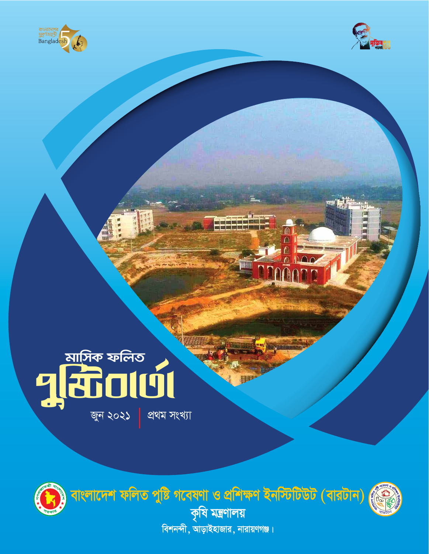





জুন ২০২১

প্ৰথম সংখ্যা

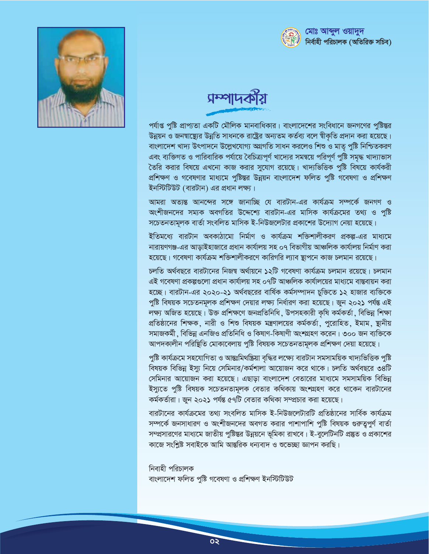



## <u> प्रम्भाप्रकारी</u>

পর্যাপ্ত পুষ্টি প্রাপ্যতা একটি মৌলিক মানবাধিকার। বাংলাদেশের সংবিধানে জনগণের পুষ্টিস্তর উন্নয়ন ও জনম্বাষ্থ্যের উন্নতি সাধনকে রাষ্ট্রের অন্যতম কর্তব্য বলে স্বীকৃতি প্রদান করা হয়েছে। বাংলাদেশ খাদ্য উৎপাদনে উল্লেখযোগ্য অগ্ৰগতি সাধন করলেও শিশু ও মাতৃ পুষ্টি নিশ্চিতকরণ এবং ব্যক্তিগত ও পারিবারিক পর্যায়ে বৈচিত্র্যপূর্ণ খাদ্যের সমন্বয়ে পরিপূর্ণ পুষ্টি সমৃদ্ধ খাদ্যাভাস তৈরি করার বিষয়ে এখনো কাজ করার সুযোগ রয়েছে। খাদ্যভিত্তিক পুষ্টি বিষয়ে কার্যকরী প্রশিক্ষণ ও গবেষণার মাধ্যমে পুষ্টিন্তর উন্নয়ন বাংলাদেশ ফলিত পুষ্টি গবেষণা ও প্রশিক্ষণ ইনস্টিটিউট (বারটান) এর প্রধান লক্ষ্য।

আমরা অত্যন্ত আনন্দের সঙ্গে জানাচ্ছি যে বারটান-এর কার্যক্রম সম্পর্কে জনগণ ও অংশীজনদের সম্যক অবগতির উদ্দেশ্যে বারটান-এর মাসিক কার্যক্রমের তথ্য ও পষ্টি সচেতনতামূলক বার্তা সংবলিত মাসিক ই-নিউজলেটার প্রকাশের উদ্যোগ নেয়া হয়েছে।

ইতিমধ্যে বারটান অবকাঠামো নির্মাণ ও কার্যক্রম শক্তিশালীকরণ প্রকল্প-এর মাধ্যমে নারায়ণগঞ্জ-এর আডাইহাজারে প্রধান কার্যালয় সহ ০৭ বিভাগীয় আঞ্চলিক কার্যালয় নির্মাণ করা হয়েছে। গবেষণা কার্যক্রম শক্তিশালীকরণে কারিগরি ল্যাব স্থাপনে কাজ চলমান রয়েছে।

চলতি অর্থবছরে বারটানের নিজন্ব অর্থায়নে ১২টি গবেষণা কার্যক্রম চলমান রয়েছে। চলমান এই গবেষণা প্রকল্পগুলো প্রধান কার্যালয় সহ ০৭টি আঞ্চলিক কার্যালয়ের মাধ্যমে বাস্তবায়ন করা হচ্ছে। বারটান-এর ২০২০-২১ অর্থবছরের বার্ষিক কর্মসম্পাদন চুক্তিতে ১২ হাজার ব্যক্তিকে পুষ্টি বিষয়ক সচেতনমূলক প্রশিক্ষণ দেয়ার লক্ষ্য নির্ধারণ করা হয়েছে। জুন ২০২১ পর্যন্ত এই লক্ষ্য অজিত হয়েছে। উক্ত প্রশিক্ষণে জনপ্রতিনিধি, উপসহকারী কৃষি কর্মকর্তা, বিভিন্ন শিক্ষা প্রতিষ্ঠানের শিক্ষক, নারী ও শিশু বিষয়ক মন্ত্রণালয়ের কর্মকর্তা, পরোহিত, ইমাম, ষ্টানীয় সমাজকর্মী, বিভিন্ন এনজিও প্রতিনিধি ও কিষাণ-কিষাণী অংশগ্রহণ করেন। ৩০০ জন ব্যক্তিকে আপদকালীন পরিষ্থিতি মোকাবেলায় পুষ্টি বিষয়ক সচেতনতামূলক প্রশিক্ষণ দেয়া হয়েছে।

পুষ্টি কাৰ্যক্ৰমে সহযোগিতা ও আন্তঃমিথষ্ক্ৰিয়া বৃদ্ধির লক্ষ্যে বারটান সমসাময়িক খাদ্যভিত্তিক পুষ্টি বিষয়ক বিভিন্ন ইস্যু নিয়ে সেমিনার/কর্মশালা আয়োজন করে থাকে। চলতি অর্থবছরে ৩৪টি সেমিনার আয়োজন করা হয়েছে। এছাড়া বাংলাদেশ বেতারের মাধ্যমে সমসাময়িক বিভিন্ন ইস্যুতে পুষ্টি বিষয়ক সচেতনতামূলক বেতার কথিকায় অংশগ্রহণ করে থাকেন বারটানের কর্মকর্তারা। জুন ২০২১ পর্যন্ত ৫৭টি বেতার কথিকা সম্প্রচার করা হয়েছে।

বারটানের কার্যক্রমের তথ্য সংবলিত মাসিক ই-নিউজলেটারটি প্রতিষ্ঠানের সার্বিক কার্যক্রম সম্পর্কে জনসাধারণ ও অংশীজনদের অবগত করার পাশাপাশি পুষ্টি বিষয়ক গুরুত্বপূর্ণ বার্তা সম্প্রসারণের মাধ্যমে জাতীয় পুষ্টিস্তর উন্নয়নে ভূমিকা রাখবে। ই-বুলেটিনটি প্রষ্কুত ও প্রকাশের কাজে সংশিষ্ট সবাইকে আমি আন্তরিক ধনবোদ ও শুভোছা জ্ঞাপন করছি।

নিবাহী পরিচালক বাংলাদেশ ফলিত পুষ্টি গবেষণা ও প্ৰশিক্ষণ ইনস্টিটিউট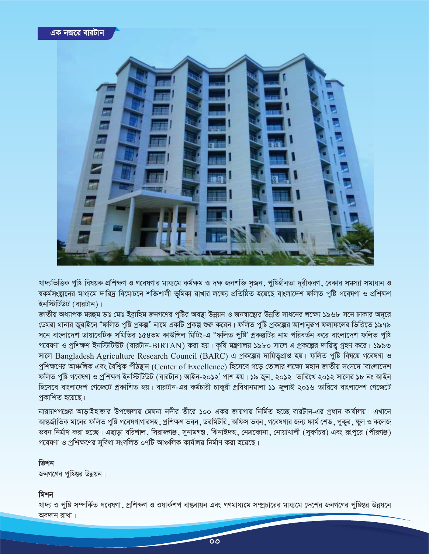

খাদ্যভিত্তিক পুষ্টি বিষয়ক প্রশিক্ষণ ও গবেষণার মাধ্যমে কর্মক্ষম ও দক্ষ জনশক্তি সূজন , পুষ্টিহীনতা দূরীকরণ , বেকার সমস্যা সমাধান ও ন্বকর্মসংস্থানের মাধ্যমে দারিদ্র বিমোচনে শক্তিশালী ভূমিকা রাখার লক্ষ্যে প্রতিষ্ঠিত হয়েছে বাংলাদেশ ফলিত পুষ্টি গবেষণা ও প্রশিক্ষণ ইনস্টিটিউট (বারটান)।

জাতীয় অধ্যাপক মরহুম ডাঃ মোঃ ইব্রাহিম জনগণের পুষ্টির অবস্থা উন্নয়ন ও জনস্বাস্থ্যের উন্নতি সাধনের লক্ষ্যে ১৯৬৮ সনে ঢাকার অদরে ডেমরা থানার জুরাইনে "ফলিত পুষ্টি প্রকল্প" নামে একটি প্রকল্প শুরু করেন। ফলিত পুষ্টি প্রকল্পের আশানুরূপ ফলাফলের ভিত্তিতে ১৯৭৯ সনে বাংলাদেশ ডায়াবেটিক সমিতির ১৫৪তম কাউন্সিল মিটিং-এ "ফলিত পুষ্টি' প্রকল্পটির নাম পরিবর্তন করে বাংলাদেশ ফলিত পুষ্টি গবেষণা ও প্রশিক্ষণ ইনস্টিটিউট (বারটান-BIRTAN) করা হয়। কৃষি মন্ত্রণালয় ১৯৮০ সালে এ প্রকল্পের দায়িত্ব গ্রহণ করে। ১৯৯৩ সালে Bangladesh Agriculture Research Council (BARC) এ প্রকল্পের দায়িতুপ্রাপ্ত হয়। ফলিত পুষ্টি বিষয়ে গবেষণা ও প্রশিক্ষণের আঞ্চলিক এবং বৈশ্বিক পীঠন্থান (Center of Excellence) হিসেবে গড়ে তোলার লক্ষ্যে মহান জাতীয় সংসদে 'বাংলাদেশ ফলিত পুষ্টি গবেষণা ও প্রশিক্ষণ ইনস্টিটিউট (বারটান) আইন-২০১২' পাশ হয়। ১৯ জুন, ২০১২ তারিখে ২০১২ সালের ১৮ নং আইন হিসেবে বাংলাদেশ গেজেটে প্রকাশিত হয়। বারটান-এর কর্মচারী চাকুরী প্রবিধানমালা ১১ জুলাই ২০১৬ তারিখে বাংলাদেশ গেজেটে প্ৰকাশিত হয়েছে।

নারায়ণগঞ্জের আডাইহাজার উপজেলায় মেঘনা নদীর তীরে ১০০ একর জায়গায় নির্মিত হচ্ছে বারটান-এর প্রধান কার্যালয়। এখানে আন্তর্জাতিক মানের ফলিত পুষ্টি গবেষণাগারসহ, প্রশিক্ষণ ভবন, ডরমিটরি, অফিস ভবন, গবেষণার জন্য ফার্ম শেড, পুকুর, স্কুল ও কলেজ ভবন নির্মাণ করা হচ্ছে। এছাডা বরিশাল, সিরাজগঞ্জ, সনামগঞ্জ, ঝিনাইদহ, নেত্রকোনা, নোয়াখালী (সবর্ণচর) এবং রংপরে (পীরগঞ্জ) গবেষণা ও প্রশিক্ষণের সুবিধা সংবলিত ০৭টি আঞ্চলিক কার্যালয় নির্মাণ করা হয়েছে।

### ভিশন

জনগণের পুষ্টিন্তর উন্নয়ন।

#### মিশন

খাদ্য ও পুষ্টি সম্পর্কিত গবেষণা ়প্রশিক্ষণ ও ওয়ার্কশপ বাস্তবায়ন এবং গণমাধ্যমে সম্প্রচারের মাধ্যমে দেশের জনগণের পুষ্টিস্তর উন্নয়নে অবদান রাখা।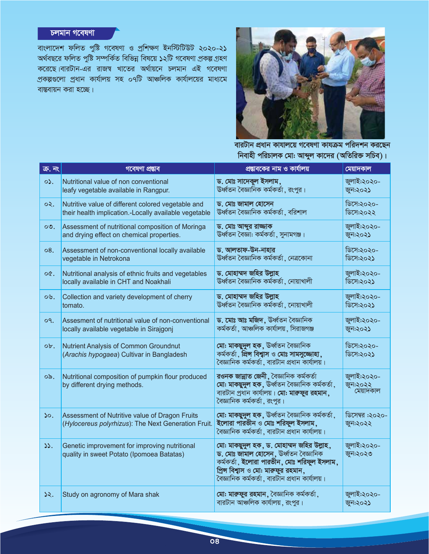## *<u><b>belain* Mcdaell</u>

বাংলাদেশ ফলিত পুষ্টি গবেষণা ও প্ৰশিক্ষণ ইনস্টিটিউট ২০২০-২১ অৰ্থবছরে ফলিত পুষ্টি সম্পৰ্কিত বিভিন্ন বিষয়ে ১২টি গবেষণা প্ৰকল্প গ্ৰহণ করেছে।বারটান-এর রাজন্ব খাতের অর্থায়নে চলমান এই গবেষণা প্ৰকল্পগুলো প্ৰধান কাৰ্যালয় সহ ০৭টি আঞ্চলিক কাৰ্যালয়ের মাধ্যমে বাস্তবায়ন করা হচ্ছে।



<u>বারটান প্রধান কাযালয়ে গবেষণা কাযক্রম পরিদশন করছেন</u>  $\overline{\mathsf{N}}$ বাহী পরিচালক মো: আব্দুল কাদের (অতিরিক্ত সচিব)।

| ক্ৰ. <b>নং</b> | গবেষণা প্ৰম্ভাব                                                                                       | প্রভাবকের নাম ও কার্যালয়                                                                                                                                                                                                   | মেয়াদকাল                            |
|----------------|-------------------------------------------------------------------------------------------------------|-----------------------------------------------------------------------------------------------------------------------------------------------------------------------------------------------------------------------------|--------------------------------------|
| $\circ$ .      | Nutritional value of non conventional                                                                 | ড. মোঃ সাদেকুল ইসলাম,                                                                                                                                                                                                       | জুলাই:২০২০-                          |
|                | leafy vegetable available in Rangpur.                                                                 | ঊর্ধ্বতন বৈজ্ঞানিক কর্মকর্তা , রংপুর।                                                                                                                                                                                       | জুন:২০২১                             |
| ०२.            | Nutritive value of different colored vegetable and                                                    | ড. মোঃ জামাল হোসেন                                                                                                                                                                                                          | ডিসে:২০২০-                           |
|                | their health implication.-Locally available vegetable                                                 | ঊর্ধ্বতন বৈজ্ঞানিক কর্মকর্তা , বরিশাল                                                                                                                                                                                       | ডিসে:২০২২                            |
| $\circ$ .      | Assessment of nutritional composition of Moringa                                                      | ড. মোঃ আব্দুর রাজ্জাক                                                                                                                                                                                                       | জুলাই:২০২০-                          |
|                | and drying effect on chemical properties.                                                             | ঊর্ধ্বতন বৈজ্ঞা: কর্মকর্তা, সুনামগঞ্জ।                                                                                                                                                                                      | জুন:২০২১                             |
| 08.            | Assessment of non-conventional locally available                                                      | ড. আলতাফ-উন-নাহার                                                                                                                                                                                                           | ডিসে:২০২০-                           |
|                | vegetable in Netrokona                                                                                | ঊর্ধ্বতন বৈজ্ঞানিক কর্মকর্তা, নেত্রকোনা                                                                                                                                                                                     | ডিসে:২০২১                            |
| O(             | Nutritional analysis of ethnic fruits and vegetables                                                  | ড. মোহাম্মদ জহির উল্লাহ                                                                                                                                                                                                     | জুলাই:২০২০-                          |
|                | locally available in CHT and Noakhali                                                                 | ঊর্ধ্বতন বৈজ্ঞানিক কর্মকর্তা , নোয়াখালী                                                                                                                                                                                    | ডিসে:২০২১                            |
| ০৬.            | Collection and variety development of cherry                                                          | ড. মোহাম্মদ জহির উল্লাহ                                                                                                                                                                                                     | জুলাই:২০২০-                          |
|                | tomato.                                                                                               | ঊর্ধ্বতন বৈজ্ঞানিক কর্মকর্তা, নোয়াখালী                                                                                                                                                                                     | ডিসে:২০২১                            |
| O <sub>1</sub> | Assesment of nutritional value of non-conventional                                                    | ড. মোঃ আঃ মজিদ, উৰ্ধ্বতন বৈজ্ঞানিক                                                                                                                                                                                          | জুলাই:২০২০-                          |
|                | locally available vegetable in Sirajgonj                                                              | কর্মকর্তা, আঞ্চলিক কার্যালয়, সিরাজগঞ্জ                                                                                                                                                                                     | জুন:২০২১                             |
| ob.            | Nutrient Analysis of Common Groundnut<br>(Arachis hypogaea) Cultivar in Bangladesh                    | মো: মাকছুদুল হক, উৰ্ধ্বতন বৈজ্ঞানিক<br>কৰ্মকৰ্তা, প্ৰিন্স বিশ্বাস ও মোঃ সামসুজ্জোহা,<br>বৈজ্ঞানিক কৰ্মকৰ্তা , বারটান প্রধান কার্যালয়।                                                                                      | ডিসে:২০২০-<br>ডিসে:২০২১              |
| ০৯.            | Nutritional composition of pumpkin flour produced<br>by different drying methods.                     | রওনক জান্নাত জেনী, বৈজ্ঞানিক কর্মকর্তা<br>মো: মাকছুদুল হক, উৰ্ধ্বতন বৈজ্ঞানিক কৰ্মকৰ্তা,<br>বারটান প্রধান কার্যালয়। মো: মারুফুর রহমান,<br>বৈজ্ঞানিক কর্মকর্তা , রংপুর।                                                     | জুলাই:২০২০-<br>জুন:২০২২<br>মেয়াদকাল |
| 50.            | Assessment of Nutritive value of Dragon Fruits<br>(Hylocereus polyrhizus): The Next Generation Fruit. | মো: মাকছুদুল হক, ঊৰ্ধ্বতন বৈজ্ঞানিক কৰ্মকৰ্তা,<br>ইলোরা পারভীন ও মোঃ শরিফুল ইসলাম,<br>বৈজ্ঞানিক কৰ্মকৰ্তা , বারটান প্রধান কার্যালয়।                                                                                        | ডিসেম্বর :২০২০-<br>জুন:২০২২          |
| 55.            | Genetic improvement for improving nutritional<br>quality in sweet Potato (Ipomoea Batatas)            | মো: মাকছুদুল হক, ড. মোহাম্মদ জহির উল্লাহ,<br>ড. মোঃ জামাল হোসেন, উৰ্ধ্বতন বৈজ্ঞানিক<br>কৰ্মকৰ্তা, ইলোৱা পাৱভীন, মোঃ শৱিফুল ইসলাম,<br>প্রিন্স বিশ্বাস ও মো: মারুফুর রহমান,<br>বৈজ্ঞানিক কৰ্মকৰ্তা , বারটান প্রধান কার্যালয়। | জুলাই:২০২০-<br>জুন:২০২৩              |
| ১২.            | Study on agronomy of Mara shak                                                                        | মো: মারুফুর রহমান, বৈজ্ঞানিক কর্মকর্তা,<br>বারটান আঞ্চলিক কার্যালয়, রংপুর।                                                                                                                                                 | জুলাই:২০২০-<br>জুন:২০২১              |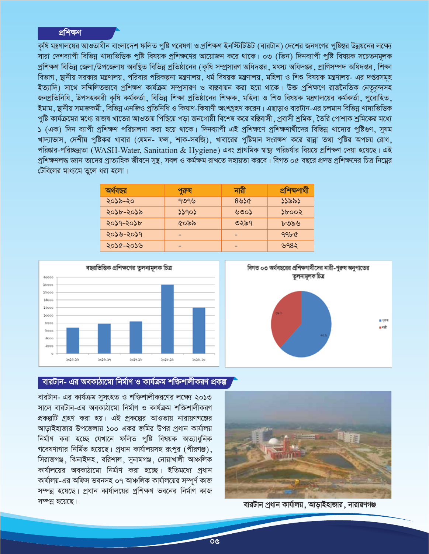## প্ৰশিক্ষণ

কষি মন্ত্রণালয়ের আওতাধীন বাংলাদেশ ফলিত পুষ্টি গবেষণা ও প্রশিক্ষণ ইনস্টিটিউট (বারটান) দেশের জনগণের পুষ্টিস্তর উন্নয়নের লক্ষ্যে সারা দেশব্যাপী বিভিন্ন খাদ্যভিত্তিক পুষ্টি বিষয়ক প্রশিক্ষণের আয়োজন করে থাকে। ০৩ (তিন) দিনব্যাপী পুষ্টি বিষয়ক সচেতনমূলক প্রশিক্ষণ বিভিন্ন জেলা/উপজেলায় অবষ্থিত বিভিন্ন প্রতিষ্ঠানের (কৃষি সম্প্রসারণ অধিদপ্তর, মৎস্য অধিদপ্তর, প্রাণিসম্পদ অধিদপ্তর, শিক্ষা বিভাগ, ছানীয় সরকার মন্ত্রণালয়, পরিবার পরিকল্পনা মন্ত্রণালয়, ধর্ম বিষয়ক মন্ত্রণালয়, মহিলা ও শিশু বিষয়ক মন্ত্রণালয়- এর দপ্তরসমূহ ইত্যাদি) সাথে সম্মিলিতভাবে প্রশিক্ষণ কার্যক্রম সম্প্রসারণ ও বাস্তবায়ন করা হয়ে থাকে। উক্ত প্রশিক্ষণে রাজনৈতিক নেতৃবন্দসহ জনপ্রতিনিধি, উপসহকারী কৃষি কর্মকর্তা, বিভিন্ন শিক্ষা প্রতিষ্ঠানের শিক্ষক, মহিলা ও শিশু বিষয়ক মন্ত্রণালয়ের কর্মকর্তা, পুরোহিত, ইমাম . ষ্টানীয় সমাজকর্মী , বিভিন্ন এনজিও প্রতিনিধি ও কিষাণ-কিষাণী অংশগ্রহণ করেন। এছাড়াও বারটান-এর চলমান বিভিন্ন খাদ্যভিত্তিক পুষ্টি কার্যক্রমের মধ্যে রাজন্ব খাতের আওতায় পিছিয়ে পড়া জনগোষ্ঠী বিশেষ করে বস্তিবাসী , প্রবাসী শ্রমিক , তৈরি পোশাক শ্রমিকের মধ্যে ১ (এক) দিন ব্যাপী প্রশিক্ষণ পরিচালনা করা হয়ে থাকে। দিনব্যাপী এই প্রশিক্ষণে প্রশিক্ষণার্থীদের বিভিন্ন খাদ্যের পুষ্টিগুণ, সুষম খাদ্যাভাস, দেশীয় পুষ্টিকর খাবার (যেমন- ফল, শাক-সবজি), খাবারের পুষ্টিমান সংরক্ষণ করে রান্না তথা পুষ্টির অপচয় রোধ, পরিষ্কার-পরিচ্ছন্নতা (WASH-Water, Sanitation & Hygiene) এবং প্রাথমিক স্বাস্থ্য পরিচর্যার বিয়য়ে প্রশিক্ষণ দেয়া হয়েছে। এই প্রশিক্ষণলদ্ধ জ্ঞান তাদের প্রাত্যহিক জীবনে সুষ্থ , সবল ও কর্মক্ষম রাখতে সহায়তা করবে। বিগত ০৫ বছরে প্রদত্ত প্রশিক্ষণের চিত্র নিম্নের টেবিলের মাধ্যমে তলে ধরা হলো।

| অৰ্থবছর   | পুরুষ | নারী    | প্ৰশিক্ষণাৰ্থী |
|-----------|-------|---------|----------------|
| ২০১৯-২০   | ৭৩৭৬  | $8$ ৬১৫ | ১১৯৯১          |
| ২০১৮-২০১৯ | ১১৭০১ | ৬৩০১    | 20005          |
| ২০১৭-২০১৮ | ৫০৯৯  | ৩২৯৭    | ৮৩৯৬           |
| ২০১৬-২০১৭ |       |         | 99b            |
| ২০১৫-২০১৬ |       |         | ৬৭৪২           |



# বিগত ০৩ অর্থবছরের প্রশিক্ষণার্থীদের নারী-পুরুষ অনুপাতের তুলনামূলক চিত্ৰ  $0.999$ ∎ गती

## বারটান- এর অবকাঠামো নির্মাণ ও কার্যক্রম শক্তিশালীকরণ প্রকল্প

বারটান- এর কার্যক্রম সুসংহত ও শক্তিশালীকরণের লক্ষ্যে ২০১৩ সালে বারটান-এর অবকাঠামো নির্মাণ ও কার্যক্রম শক্তিশালীকরণ প্রকল্পটি গ্রহণ করা হয়। এই প্রকল্পের আওতায় নারায়ণগঞ্জের আডাইহাজার উপজেলায় ১০০ একর জমির উপর প্রধান কার্যালয় নিৰ্মাণ করা হচ্ছে যেখানে ফলিত পুষ্টি বিষয়ক অত্যাধুনিক গবেষণাগার নির্মিত হয়েছে। প্রধান কার্যালয়সহ রংপুর (পীরগঞ্জ), সিরাজগঞ্জ, ঝিনাইদহ, বরিশাল, সুনামগঞ্জ, নোয়াখালী আঞ্চলিক কার্যালয়ের অবকাঠামো নির্মাণ করা হচ্ছে। ইতিমধ্যে প্রধান কার্যালয়-এর অফিস ভবনসহ ০৭ আঞ্চলিক কার্যালয়ের সম্পর্ণ কাজ সম্পন্ন হয়েছে। প্রধান কার্যালয়ের প্রশিক্ষণ ভবনের নির্মাণ কাজ সম্পন্ন হয়েছে।



বারটান প্রধান কার্যালয়, আড়াইহাজার, নারায়ণগঞ্জ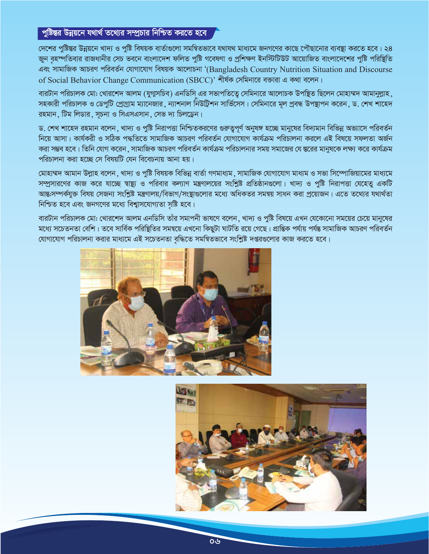## পুষ্টিন্তর উন্নয়নে যথার্থ তথ্যের সম্প্রচার নিশ্চিত করতে হবে

দেশের পুষ্টিন্তর উন্নয়নে খাদ্য ও পুষ্টি বিষয়ক বার্তাগুলো সমন্বিতভাবে যথাযথ মাধ্যমে জনগণের কাছে পৌছানোর ব্যবস্থা করতে হবে। ২৪ জুন বহস্পতিবার রাজধানীর সেচ ভবনে বাংলাদেশ ফলিত পুষ্টি গবেষণা ও প্রশিক্ষণ ইনস্টিটিউট আয়োজিত বাংলাদেশের পুষ্টি পরিষ্থিতি এবং সামাজিক আচরণ পরিবর্তন যোগাযোগ বিষয়ক আলোচনা '(Bangladesh Country Nutrition Situation and Discourse of Social Behavior Change Communication (SBCC)' শীৰ্ষক সেমিনারে বক্তারা এ কথা বলেন।

বারটান পরিচালক মো: খোরশেদ আলম (যুগ্মসচিব) এনডিসি এর সভাপতিত্বে সেমিনারে আলোচক উপস্থিত ছিলেন মোহাম্মদ আমানুল্লাহ সহকারী পরিচালক ও ডেপুটি প্রোগ্রাম ম্যানেজার, ন্যাশনাল নিউটিশন সার্ভিসেস। সেমিনারে মূল প্রবন্ধ উপস্থাপন করেন, ড. শেখ শাহেদ রহমান, টিম লিডার, সূচনা ও সিএসএসান, সেভ দ্য চিলডেন।

ড. শেখ শাহেদ রহমান বলেন ,খাদ্য ও পুষ্টি নিরাপত্তা নিশ্চিতকরণের গুরুত্বপূর্ণ অনুষঙ্গ হচ্ছে মানুষের বিদ্যমান বিভিন্ন অভ্যাসে পরিবর্তন নিয়ে আসা। কাৰ্যকরী ও সঠিক পদ্ধতিতে সামাজিক আচরণ পরিবর্তন যোগাযোগ কার্যক্রম পরিচালনা করলে এই বিষয়ে সফলতা অর্জন করা সম্ভব হবে। তিনি যোগ করেন , সামাজিক আচরণ পরিবর্তন কার্যক্রম পরিচালনার সময় সমাজের যে স্তরের মানুষকে লক্ষ্য করে কার্যক্রম পরিচালনা করা হচ্ছে সে বিষয়টি যেন বিবেচনায় আনা হয়।

মোহাম্মদ আমান উল্লাহ বলেন, খাদ্য ও পুষ্টি বিষয়ক বিভিন্ন বাৰ্তা গণমাধ্যম, সামাজিক যোগাযোগ মাধ্যম ও সভা সিম্পোজিয়ামের মাধ্যমে সম্প্রসারণের কাজ করে যাচ্ছে স্বাষ্থ্য ও পরিবার কল্যাণ মন্ত্রণালয়ের সংশ্লিষ্ট প্রতিষ্ঠানগুলো। খাদ্য ও পুষ্টি নিরাপত্তা যেহেতু একটি আন্ত:সম্পর্কযুক্ত বিষয় সেজন্য সংশ্লিষ্ট মন্ত্রণালয়/বিভাগ/সংস্থাগুলোর মধ্যে অধিকতর সমন্বয় সাধন করা প্রয়োজন। এতে তথ্যের যথার্থতা নিশ্চিত হবে এবং জনগণের মধ্যে বিশ্বাসযোগ্যতা সৃষ্টি হবে।

বারটান পরিচালক মো: খোরশেদ আলম এনডিসি তাঁর সমাপনী ভাষণে বলেন ,খাদ্য ও পুষ্টি বিষয়ে এখন যেকোনো সময়ের চেয়ে মানুষের মধ্যে সচেতনতা বেশি। তবে সার্বিক পরিষ্থিতির সমন্বয়ে এখনো কিছুটা ঘাটতি রয়ে গেছে। প্রান্তিক পর্যায় পর্যন্ত সামাজিক আচরণ পরিবর্তন যোগাযোগ পরিচালনা করার মাধ্যমে এই সচেতনতা বৃদ্ধিতে সমন্বিতভাবে সংশ্লিষ্ট দপ্তরগুলোর কাজ করতে হবে।



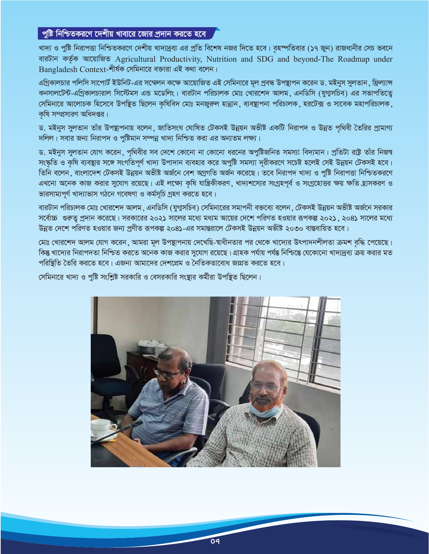## পুষ্টি নিশ্চিতকরণে দেশীয় খাবারে জোর প্রদান করতে হবে

খাদ্য ও পুষ্টি নিরাপত্তা নিশ্চিতকরণে দেশীয় খাদ্যদ্রব্য এর প্রতি বিশেষ নজর দিতে হবে। বহস্পতিবার (১৭ জুন) রাজধানীর সেচ ভবনে বারটান কর্তৃক আয়োজিত Agricultural Productivity, Nutrition and SDG and beyond-The Roadmap under Bangladesh Context-শীৰ্ষক সেমিনারে বক্তারা এই কথা বলেন।

এগ্রিকালচার পলিসি সাপোর্ট ইউনিট-এর সম্মেলন কক্ষে আয়োজিত এই সেমিনারে মূল প্রবন্ধ উপস্থাপন করেন ড. মইনুস সুলতান, ফ্রিল্যান্স কনসালটেন্ট-এগ্রিকালচারাল সিস্টেমস এন্ড মডেলিং। বারটান পরিচালক মোঃ খোরশেদ আলম, এনডিসি (যুগ্মসচিব) এর সভাপতিতেু সেমিনারে আলোচক হিসেবে উপস্থিত ছিলেন কৃষিবিদ মোঃ মনজুরুল হান্নান, ব্যবস্থাপনা পরিচালক, হরটেক্স ও সাবেক মহাপরিচালক, কষি সম্প্রসারণ অধিদপ্তর।

ড. মইনুস সুলতান তাঁর উপন্থাপনায় বলেন, জাতিসংঘ ঘোষিত টেকসই উন্নয়ন অভীষ্ট একটি নিরাপদ ও উন্নত পৃথিবী তৈরির প্রামাণ্য দলিল। সবার জন্য নিরাপদ ও পুষ্টিমান সম্পন্ন খাদ্য নিশ্চিত করা এর অন্যতম লক্ষ্য।

ড. মইনুস সুলতান যোগ করেন, পৃথিবীর সব দেশে কোনো না কোনো ধরনের অপুষ্টিজনিত সমস্যা বিদ্যমান। প্রতিটা রাষ্ট তাঁর নিজশ্ব সংস্কৃতি ও কৃষি ব্যবস্থার সঙ্গে সংগতিপূর্ণ খাদ্য উপাদান ব্যবহার করে অপুষ্টি সমস্যা দূরীকরণে সচেষ্ট হলেই সেই উন্নয়ন টেকসই হবে। তিনি বলেন, বাংলাদেশ টেকসই উন্নয়ন অভীষ্ট অৰ্জনে বেশ অগ্ৰগতি অৰ্জন করেছে। তবে নিরাপদ খাদ্য ও পুষ্টি নিরাপত্তা নিশ্চিতকরণে এখনো অনেক কাজ করার সুযোগ রয়েছে। এই লক্ষ্যে কৃষি যান্ত্রিকীকরণ, খাদ্যশস্যের সংগ্রহপূর্ব ও সংগ্রহোত্তর ক্ষয় ক্ষতি হ্রাসকরণ ও ভারসাম্যপূর্ণ খাদ্যাভাস গঠনে গবেষণা ও কর্মসূচি গ্রহণ করতে হবে।

বারটান পরিচালক মোঃ খোরশেদ আলম, এনডিসি (যুগ্মসচিব) সেমিনারের সমাপনী বক্তব্যে বলেন, টেকসই উন্নয়ন অভীষ্ট অর্জনে সরকার সর্বোচ্চ গুরুতু প্রদান করেছে। সরকারের ২০২১ সালের মধ্যে মধ্যম আয়ের দেশে পরিণত হওয়ার রূপকল্প ২০২১, ২০৪১ সালের মধ্যে উন্নত দেশে পরিণত হওয়ার জন্য প্রণীত রূপকল্প ২০৪১-এর সমান্তরালে টেকসই উন্নয়ন অভীষ্ট ২০৩০ বাস্তবায়িত হবে।

মোঃ খোরশেদ আলম যোগ করেন, আমরা মূল উপন্থাপনায় দেখেছি-স্বাধীনতার পর থেকে খাদ্যের উৎপাদনশীলতা ক্রমশ বৃদ্ধি পেয়েছে। কিন্তু খাদ্যের নিরাপদতা নিশ্চিত করতে অনেক কাজ করার সুযোগ রয়েছে। গ্রাহক পর্যায় পর্যন্ত নিশ্চিন্তে যেকোনো খাদ্যদ্রব্য ক্রয় করার মত পরিষ্থিতি তৈরি করতে হবে। এজন্য আমাদের দেশপ্রেম ও নৈতিকতাবোধ জাগ্রত করতে হবে।

সেমিনারে খাদ্য ও পুষ্টি সংশ্লিষ্ট সরকারি ও বেসরকারি সংস্থার কর্মীরা উপস্থিত ছিলেন।

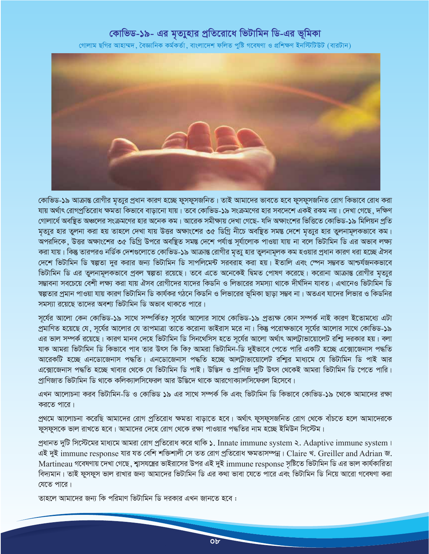## কোভিড-১৯- এর মৃত্যুহার প্রতিরোধে ভিটামিন ডি-এর ভূমিকা

গোলাম ছগির আহাম্মদ , বৈজ্ঞানিক কর্মকর্তা , বাংলাদেশ ফলিত পুষ্টি গবেষণা ও প্রশিক্ষণ ইনস্টিটিউট (বারটান)



কোভিড-১৯ আক্রান্ত রোগীর মৃত্যুর প্রধান কারণ হচ্ছে ফুসফুসজনিত। তাই আমাদের ভাবতে হবে ফুসফুসজনিত রোগ কিভাবে রোধ করা যায় অর্থাৎ রোগপ্রতিরোধ ক্ষমতা কিভাবে বাড়ানো যায়। তবে কোভিড-১৯ সংক্রমণের হার সবদেশে একই রকম নয়। দেখা গেছে, দক্ষিণ গোলার্ধে অবষ্থিত অঞ্চলের সংক্রমণের হার অনেক কম। আরেক সমীক্ষায় দেখা গেছে- যদি অক্ষাংশের ভিত্তিতে কোভিড-১৯ মিলিয়ন প্রতি মৃত্যুর হার তুলনা করা হয় তাহলে দেখা যায় উত্তর অক্ষাংশের ৩৫ ডিগ্রি নীচে অবষ্থিত সমস্ত দেশে মৃত্যুর হার তুলনামূলকভাবে কম। অপরদিকে, উত্তর অক্ষাংশের ৩৫ ডিগ্রি উপরে অবছিত সমন্ত দেশে পর্যাপ্ত সর্যালোক পাওয়া যায় না বলে ভিটামিন ডি এর অভাব লক্ষ্য করা যায়। কিন্তু তারপরও নর্ডিক দেশগুলোতে কোভিড-১৯ আক্রান্ত রোগীর মৃত্যু হার তুলনামূলক কম হওয়ার প্রধান কারণ ধরা হচ্ছে ঐসব দেশে ভিটামিন ডি ম্বল্পতা দুর করার জন্য ভিটামিন ডি সাপলিমেন্ট সরবরাহ করা হয়। ইতালি এবং স্পেন সম্ভবত আশ্চর্যজনকভাবে ভিটামিন ডি এর তুলনামূলকভাবে প্রবল স্বল্পতা রয়েছে। তবে এতে অনেকেই দ্বিমত পোষণ করেছে। করোনা আক্রান্ত রোগীর মৃত্যুর সম্ভাবনা সবচেয়ে বেশী লক্ষ্য করা যায় ঐসব রোগীদের যাদের কিডনি ও লিভারের সমস্যা থাকে দীর্ঘদিন যাবত। এখানেও ভিটামিন ডি স্বল্পতার প্রমান পাওয়া যায় কারণ ভিটামিন ডি কার্যকর গঠনে কিডনি ও লিভারের ভূমিকা ছাড়া সম্ভব না। অতএব যাদের লিভার ও কিডনির সমস্যা রয়েছে তাদের অবশ্য ভিটামিন ডি অভাব থাকতে পারে।

সূর্যের আলো কেন কোভিড-১৯ সাথে সম্পর্কিত? সূর্যের আলোর সাথে কোভিড-১৯ প্রত্যক্ষ কোন সম্পর্ক নাই কারণ ইতোমধ্যে এটা প্রমাণিত হয়েছে যে, সূর্যের আলোর যে তাপমাত্রা তাতে করোনা ভাইরাস মরে না। কিন্তু পরোক্ষভাবে সূর্যের আলোর সাথে কোভিড-১৯ এর ভাল সম্পর্ক রয়েছে। কারণ মানব দেহে ভিটামিন ডি সিনথেসিস হতে সূর্যের আলো অর্থাৎ আলট্রাভায়োলেট রশ্মি দরকার হয়। বলা যাক আমরা ভিটামিন ডি কিভাবে পাব তার উৎস কি কি? আমরা ভিটামিন-ডি দুইভাবে পেতে পারি একটি হচ্ছে এক্সোজেনাস পদ্ধতি আরেকটি হচ্ছে এনডোজেনাস পদ্ধতি। এনডোজেনাস পদ্ধতি হচ্ছে আল্ট্রাভায়োলেট রশ্মির মাধ্যমে যে ভিটামিন ডি পাই আর এক্সোজেনাস পদ্ধতি হচ্ছে খাবার থেকে যে ভিটামিন ডি পাই। উদ্ভিদ ও প্রাণিজ দুটি উৎস থেকেই আমরা ভিটামিন ডি পেতে পারি। প্রাণিজাত ভিটামিন ডি থাকে কলিক্যালসিফেরল আর উদ্ভিদে থাকে আরগোক্যালসিফেরল হিসেবে।

এখন আলোচনা করব ভিটামিন-ডি ও কোভিড ১৯ এর সাথে সম্পর্ক কি এবং ভিটামিন ডি কিভাবে কোভিড-১৯ থেকে আমাদের রক্ষা করতে পারে।

প্রথমে আলোচনা করেছি আমাদের রোগ প্রতিরোধ ক্ষমতা বাড়াতে হবে। অর্থাৎ ফুসফুসজনিত রোগ থেকে বাঁচতে হলে আমাদেরকে ফুসফুসকে ভাল রাখতে হবে। আমাদের দেহে রোগ থেকে রক্ষা পাওয়ার পদ্ধতির নাম হচ্ছে ইমিউন সিস্টেম।

প্রধানত দুটি সিস্টেমের মাধ্যমে আমরা রোগ প্রতিরোধ করে থাকি ১. Innate immune system ২. Adaptive immune system । এই দুই immune response যার যত বেশি শক্তিশালী সে তত রোগ প্রতিরোধ ক্ষমতাসম্পন্ন। Claire খ. Greiller and Adrian জ. Martineau গবেষণায় দেখা গেছে, শ্বাসযন্ত্রের ভাইরাসের উপর এই দুই immune response সৃষ্টিতে ভিটামিন ডি এর ভাল কার্যকারিতা বিদ্যমান। তাই ফুসফুস ভাল রাখার জন্য আমাদের ভিটামিন ডি এর কথা ভাবা যেতে পারে এবং ভিটামিন ডি নিয়ে আরো গবেষণা করা যেতে পারে।

তাহলে আমাদের জন্য কি পরিমাণ ভিটামিন ডি দরকার এখন জানতে হবে :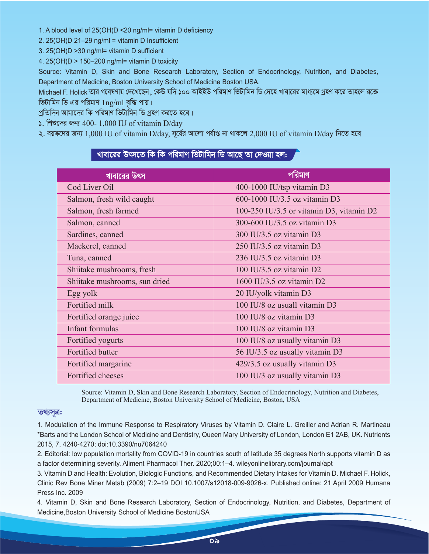1. A blood level of 25(OH)D <20 ng/ml= vitamin D deficiency

- 2. 25(OH)D 21–29 ng/ml = vitamin D Insufficient
- 3. 25(OH)D >30 ng/ml= vitamin D sufficient

4. 25(OH)D > 150–200 ng/ml= vitamin D toxicity

Source: Vitamin D, Skin and Bone Research Laboratory, Section of Endocrinology, Nutrition, and Diabetes, Department of Medicine, Boston University School of Medicine Boston USA.

Michael F. Holick তার গবেষণায় দেখেছেন , কেউ যদি ১০০ আইইউ পরিমাণ ভিটামিন ডি দেহে খাবারের মাধ্যমে গ্রহণ করে তাহলে রক্তে ভিটামিন ডি এর পরিমাণ  $1$ ng/ml বৃদ্ধি পায়।

প্রতিদিন আমাদের কি পরিমাণ ভিটামিন ডি গ্রহণ করতে হবে।

 $\epsilon$ . শিশুদের জন্য 400- 1,000 IU of vitamin D/day

২. বয়ঙ্কদের জন্য 1,000 IU of vitamin D/day, সূর্বের আলো পর্যাপ্ত না থাকলে 2,000 IU of vitamin D/day নিতে হবে

## খাবারের উৎসতে কি কি পরিমাণ ভিটামিন ডি আছে তা দেওয়া হল**:**

| খাবারের উৎস                   | পবিমাণ                                   |
|-------------------------------|------------------------------------------|
| Cod Liver Oil                 | 400-1000 IU/tsp vitamin D3               |
| Salmon, fresh wild caught     | 600-1000 IU/3.5 oz vitamin D3            |
| Salmon, fresh farmed          | 100-250 IU/3.5 or vitamin D3, vitamin D2 |
| Salmon, canned                | 300-600 IU/3.5 oz vitamin D3             |
| Sardines, canned              | 300 IU/3.5 oz vitamin D3                 |
| Mackerel, canned              | 250 IU/3.5 oz vitamin D3                 |
| Tuna, canned                  | 236 IU/3.5 oz vitamin D3                 |
| Shiitake mushrooms, fresh     | 100 IU/3.5 oz vitamin D2                 |
| Shiitake mushrooms, sun dried | 1600 IU/3.5 oz vitamin $D2$              |
| Egg yolk                      | 20 IU/yolk vitamin D3                    |
| Fortified milk                | 100 IU/8 oz usuall vitamin D3            |
| Fortified orange juice        | 100 IU/8 oz vitamin D3                   |
| Infant formulas               | 100 IU/8 oz vitamin D3                   |
| Fortified yogurts             | 100 IU/8 oz usually vitamin D3           |
| Fortified butter              | 56 IU/3.5 oz usually vitamin D3          |
| Fortified margarine           | 429/3.5 oz usually vitamin D3            |
| Fortified cheeses             | 100 IU/3 oz usually vitamin D3           |

Source: Vitamin D, Skin and Bone Research Laboratory, Section of Endocrinology, Nutrition and Diabetes, Department of Medicine, Boston University School of Medicine, Boston, USA

#### **তথ্যসূত্ৰ:**

1. Modulation of the Immune Response to Respiratory Viruses by Vitamin D. Claire L. Greiller and Adrian R. Martineau \*Barts and the London School of Medicine and Dentistry, Queen Mary University of London, London E1 2AB, UK. Nutrients 2015, 7, 4240-4270; doi:10.3390/nu7064240

2. Editorial: low population mortality from COVID-19 in countries south of latitude 35 degrees North supports vitamin D as a factor determining severity. Aliment Pharmacol Ther. 2020;00:1–4. wileyonlinelibrary.com/journal/apt

3. Vitamin D and Health: Evolution, Biologic Functions, and Recommended Dietary Intakes for Vitamin D. Michael F. Holick, Clinic Rev Bone Miner Metab (2009) 7:2–19 DOI 10.1007/s12018-009-9026-x. Published online: 21 April 2009 Humana Press Inc. 2009

4. Vitamin D, Skin and Bone Research Laboratory, Section of Endocrinology, Nutrition, and Diabetes, Department of Medicine,Boston University School of Medicine BostonUSA

<u>ಂ</u>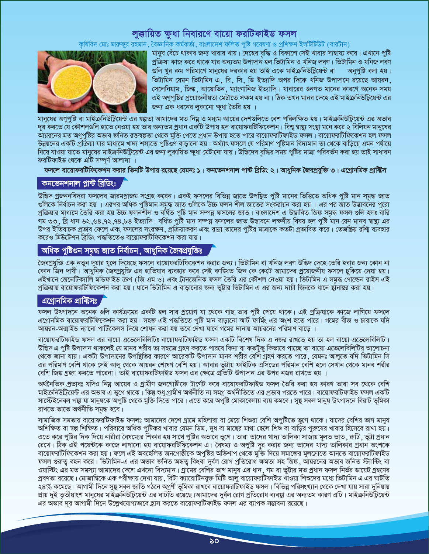## *লু*ক্কায়িত ক্ষুধা নিবারণে বায়ো ফরটিফাইড ফসল

কৃষিবিদ মোঃ মারুফুর রহমান , বৈজ্ঞানিক কর্মকর্তা , বাংলাদেশ ফলিত পুষ্টি গবেষণা ও প্রশিক্ষণ ইন্সটিটিউট (বারটান)



মানুষ র্বেচে থাকার জন্য খাবার খায়। দেহের বৃদ্ধি ও বিকাশে সেই খাবার সাহায্য করে। এখানে পুষ্টি প্রক্রিয়া কাজ করে থাকে যার অন্যতম উপাদান হল ভিটামিন ও খনিজ লবণ। ভিটামিন ও খনিজ লবণ<br>গুলি খুব কম পরিমাণে মানুষের দরকার হয় তাই একে মাইক্রনিউট্রিয়েন্ট বা অনুপুষ্টি বলা হয়। গুলি খুব কম পরিমাণে মানুষের দরকার হয় তাই একে মাইক্রনিউটিয়েন্ট বা ভিটামিন যেমন ভিটামিন এ, বি, সি, ডি ইত্যাদি অপর দিকে খনিজ উপাদানে রয়েছে আয়রন, সেলেনিয়াম, জিঙ্ক, আয়োডিন, ম্যাংগানিজ ইত্যাদি। খাবারের গুনগত মানের কারণে অনেক সময় এই অণুপুষ্টির প্রয়োজনীয়তা মেটাতে সক্ষম হয় না। ঠিক তখন মানব দেহে এই মাইক্রনিউটিয়েন্ট এর জন্য এক ধরনের লুকানো ক্ষুধা তৈরি হয় ।

মানুষের অণুপুষ্টি বা মাইক্রনিউটিয়েন্ট এর শ্বল্পতা আমাদের মত নিম্ন ও মধ্যম আয়ের দেশগুলিতে বেশ পরিলক্ষিত হয়। মাইক্রনিউটিয়েন্ট এর অভাব `দূর করতে যে কৌশলগুলি হাতে নেওয়া হয় তার অন্যতম প্রধান একটি উপায় হল বায়োফরটিফিকেশন। বিশ্ব স্বাস্থ্য সংস্থা মনে করে ২ বিলিয়ন মানুষের আয়রনের মত অণুপুষ্টির অভাব জনিত রক্তম্বল্পতা থেকে মুক্তি পেতে প্রধান উপায় হতে পারে বায়োফরটিফাইড ফসল। বায়োফরটিফিকেশন হল ফসল ঊন্নয়নের একটি প্রক্রিয়া যার মাধ্যমে খাদ্য শস্যতে পুষ্টিঙণ বাড়ানো হয়। অর্থ্যাৎ ফসলে যে পরিমাণ পুষ্টিমান বিদ্যমান তা থেকে বাড়িয়ে এমন পর্যায়ে নিয়ে যাওয়া যাতে মানুষের মাইক্রনিউটিয়েন্ট এর জন্য লুকায়িত ক্ষুধা মেটানো যায়। উদ্ভিদের বৃদ্ধির সময় পুষ্টির মাত্রা পরিবর্তন করা হয় তাই সাধারন ফরটিফাইড থেকে এটি সম্পূর্ণ আলাদা ।

ফসলে বায়োফরটিফিকেশন করার তিনটি উপায় রয়েছে যেমনঃ **১। কনভেনশনাল পান্ট ব্রিডিং ২। আধুনিক** জৈবপ্রযুক্তি ৩। এগ্রোনমিক প্রাক্টিস

### কনভেনশনাল প্লান্ট ব্ৰিডিং:

উদ্ভিদ প্রজননবিদরা ফসলের জারমপ্লাজম সংগ্রহ করেন। একই ফসলের বিভিন্ন জাতে উপছিত পুষ্টি মানের ভিত্তিতে অধিক পুষ্টি মান সমৃদ্ধ জাত গুলিকে নির্বাচন করা হয় । এরপর অধিক পুষ্টিমান সমদ্ধ জাত গুলিকে উচ্চ ফলন শীল জাতের সংকরায়ন করা হয় । এর পর জাত উড্ডাবনের পুরো প্ৰক্ৰিয়ার মাধ্যমে তৈরি করা হয় উচ্চ ফলনশীল ও বর্ধিত পুষ্টি মান সম্পন্ন ফসলের জাত। বাংলাদেশ এ উদ্ভাবিত জিঙ্ক সমূদ্ধ ফসল গুলি হলঃ বারি গম ৩৩, ব্রি ধান ৬২,৬৪,৭২,৭৪,৮৪ ইত্যাদি। বর্ধিত পুষ্টি মান সম্পন্ন ফসলের জাত উদ্ভাবনে লক্ষণীয় বিষয় হল পুষ্টি মান যেন মানব স্বাষ্থ্য এর উপর ইতিবাচক প্রভাব ফেলে এবং ফসলের সংরক্ষণ, প্রক্রিয়াকরণ এবং রান্না তাদের পুষ্টির মাত্রাকে কতটা প্রভাবিত করে। তেজষ্ক্রিয় রশািু ব্যবহার করেও মিউটেশন ব্রিডিং পদ্ধতিতেও বায়োফরটিফিকেশন করা যায়।

## অধিক পুষ্টিগুন সমৃদ্ধ জাত নিৰ্বাচন, আধুনিক জৈবপ্ৰযুক্তিঃ

কৈবপ্রযুক্তি এক নতুন দুয়ার খুলে দিয়েছে ফসলে বায়োফরটিফিকেশন করার জন্য। ভিটামিন বা খনিজ লবণ উদ্ভিদ দেহে তেরি হবার জন্য কোন না কোন জিন দায়ী। আধুনিক জৈবপ্রযুক্তি এর হাতিয়ার ব্যবহার করে সেই কাঙ্খিত জিন কে কেটে আমাদের প্রয়োজনীয় ফসলে ঢুকিয়ে দেয়া হয়। এইখানে জেনেটিক্যালি মডিফাইড ক্ৰপ (জি এম ও) এবং ট্ৰানজেনিক ফসল তৈরি এর কৌশল নেওয়া হয়। ভিটামিন এ সমূদ্ধ গোল্ডেন রাইস এই প্রক্রিয়ায় বায়োফরটিফিকেশন করা হয়। ধানে ভিটামিন এ বাড়ানোর জন্য ভুটার ভিটামিন এ এর জন্য দায়ী জিনকে ধানে স্থানান্তর করা হয়।

## এগ্ৰোনমিক প্ৰাক্টিসঃ

ফসল উৎপাদনে অনেক গুলি কার্যক্রমের একটি হল সার প্রয়োগ যা থেকে গাছ তার পুষ্টি পেয়ে থাকে। এই প্রক্রিয়াকে কাজে লাগিয়ে ফসলে এগ্রোনমিক বায়োফরটিফিকেশন করা হয়। সহজ এই পদ্ধতিতে পুষ্টি মান বাড়ানো স্মার্ট ফার্মিং এর অংশ হতে পারে। গমের বীজ ও চারাকে যদি আয়রন-অক্সাইড ন্যানো পার্টিকেলস দিয়ে শোধন করা হয় তবে দেখা যাবে গমের দানায় আয়রনের পরিমাণ বাড়ে ।

বায়োফরটিফাইড ফসল এর বায়ো এভেলেবিলিটিঃ বায়োফরটিফাইড ফসল একটি বিশেষ দিক এ নজর রাখতে হয় তা হল বায়ো এভেলেবিলিটি। উদ্ভিদ এ পুষ্টি উপাদান থাকলেই যে মানব শরীর তা সহজে গ্রহণ করতে পারবে কিনা বা কতটুকু কিভাবে পাচ্ছে তা বায়ো এভেলেবিলিটির আলোচনা থেকে জানা যায়। একটা উপাদানের উপষ্থিতির কারণে আরেকটি উপাদান মানব শরীর বেশি গ্রহণ করতে পারে, যেমনঃ আলুতে যদি ভিটামিন সি এর পরিমাণ বেশি থাকে সেই আলু থেকে আয়রন শোষণ বেশি হয়। আবার ভুট্টায় ফাইটিক এসিডের পরিমান বেশি হলে সেখান থেকে মানব শরীর বেশি জিঙ্ক গ্রহণ করতে পারেনা। তাই বায়োফরটিফাইড ফসল এর ক্ষেত্রে প্রতিটি উপাদান এর উপর নজর রাখতে হয় ।

অর্থনৈতিক প্রভাবঃ যদিও নিয়ু আয়ের ও গ্রামীণ জনগোষ্ঠীকে টার্গেট করে বায়োফরটিফাইড ফসল তৈরি করা হয় কারণ তারা সব থেকে বেশি মাইক্রনিউটিয়েন্ট এর অভাব এ ভুগে থাকে। কিন্তু শুধু গ্রামীণ অর্থনীতি না সমগ্র অর্থনীতিতে এর প্রভাব পরতে পারে। বায়োফরটিফাইড ফসল একটি সাস্টেইনেবল পন্থা যা মানুষকে অপুষ্টি থেকে মুক্তি দিতে পারে। এতে করে অপুষ্টি মোকাবেলায় ব্যয় কমবে। সুষ্থ সবল মানুষ উৎপাদনে বিরাট ভূমিকা রাখতে তাতে অর্থনীতি সমৃদ্ধ হবে।

সামাজিক সমতায় বায়োফরটিফাইড ফসলঃ আমাদের দেশে গ্রামে মহিলারা বা মেয়ে শিশুরা বেশি অপুষ্টিতে ভুগে থাকে। যাদের বেশির ভাগ মানুষ অশিক্ষিত বা ষল্প শিক্ষিত। পরিবারে অধিক পুষ্টিকর খাবার যেমন ডিম, দুধ বা মাছের মাথা ছেলে শিশু বা বাড়ির পুরুষের খাবার হিসেবে রাখা হয়। এতে করে পুষ্টির দিক দিয়ে নারীরা বৈষম্যের শিকার হয় সাথে পুষ্টির অভাবে ভুগে। তারা তাদের খাদ্য তালিকা সাজায় মূলত ভাত , রুটি , ভুট্টা প্রধান রেখে। ঠিক এই পয়েন্টকে কাজে লাগানো হয় বায়োফরটিফিকেশন এ। বৈষম্য ও অপুষ্টি দূর করার জন্য তাদের খাদ্য তালিকার প্রধান অংশকে বায়োফরটিফিকেশন করা হয়। ফলে এই অবহেলিত জনগোষ্ঠীকে অপুষ্টির অভিশাপ থেকে মুক্তি দিয়ে সমাজের মুলস্রোতে আনতে বায়োফরটিফাইড ফসল গুরুত্ব বহন করে। ভিটামিন-এ এর অভাব জনিত অন্ধত্ব কিংবা দুর্বল রোগ প্রতিরোধ ক্ষমতা সহ জিঙ্ক , আয়রনের অভাব জনিত স্ট্যান্টিং বা ওয়াস্টিং এর মত সমস্যা আমাদের দেশে এখনো বিদ্যমান। গ্রামের বেশির ভাগ মানুষ এর ধান , গম বা ভুট্টার মত প্রধান ফসল নির্ভর ডায়েট গ্রহণের প্রবণতা রয়েছে। মোজাম্বিকে এক পরীক্ষায় দেখা যায় ,বিটা ক্যারোটিনযুক্ত মিষ্টি আলু বায়োফরটিফাইড খাওয়া শিশুদের মধ্যে ভিটামিন এ এর ঘাটতি ২৪% কমেছে। আগামী দিনে সুষ্থ সবল জাতি গঠনে অগ্রণী ভূমিকা রাখবে বায়োফরটিফাইড ফসল। বিভিন্ন পরিসংখ্যান থেকে দেখা যায় সারা দুনিয়ায় প্রায় দুই তৃতীয়াংশ মানুষের মাইক্রনিউটিয়েন্ট এর ঘাটতি রয়েছে।আমাদের দুর্বল রোগ প্রতিরোধ ব্যবস্থা এর অন্যতম কারণ এটি। মাইক্রনিউটিয়েন্ট এর অভাব দূর আগামী দিনে উল্লেখযোগ্যভাবে হ্রাস করতে বায়োফরটিফাইড ফসল এর ব্যাপক সম্ভাবনা রয়েছে।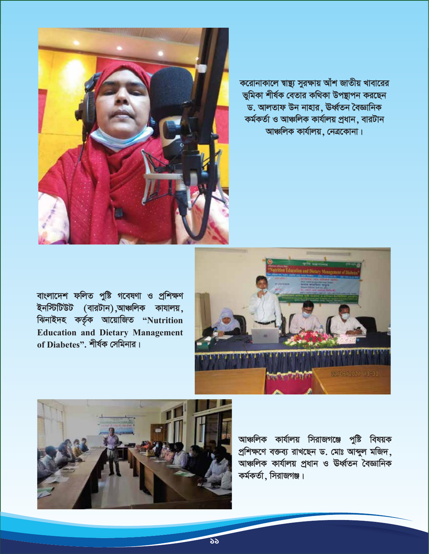

করোনাকালে স্বাষ্থ্য সুরক্ষায় আঁশ জাতীয় খাবারের ভূমিকা শীৰ্ষক বেতার কথিকা উপছাপন করছেন ড. আলতাফ উন নাহার, ঊর্ধ্বতন বৈজ্ঞানিক কৰ্মকৰ্তা ও আঞ্চলিক কাৰ্যালয় প্ৰধান, বারটান আঞ্চলিক কাৰ্যালয়, নেত্ৰকোনা।

বাংলাদেশ ফলিত পুষ্টি গবেষণা ও প্ৰশিক্ষণ ইনস্টিটিউট (বারটান),আঞ্চলিক কাযালয়, ঝিনাইদহ কৰ্তৃক আয়োজিত "Nutrition **Education and Dietary Management** of Diabetes". শীৰ্ষক সেমিনার।





আঞ্চলিক কার্যালয় সিরাজগঞ্জে পুষ্টি বিষয়ক প্রশিক্ষণে বক্তব্য রাখছেন ড. মোঃ আব্দুল মজিদ, আঞ্চলিক কাৰ্যালয় প্ৰধান ও ঊৰ্ধ্বতন বৈজ্ঞানিক কর্মকর্তা, সিরাজগঞ্জ।

১১